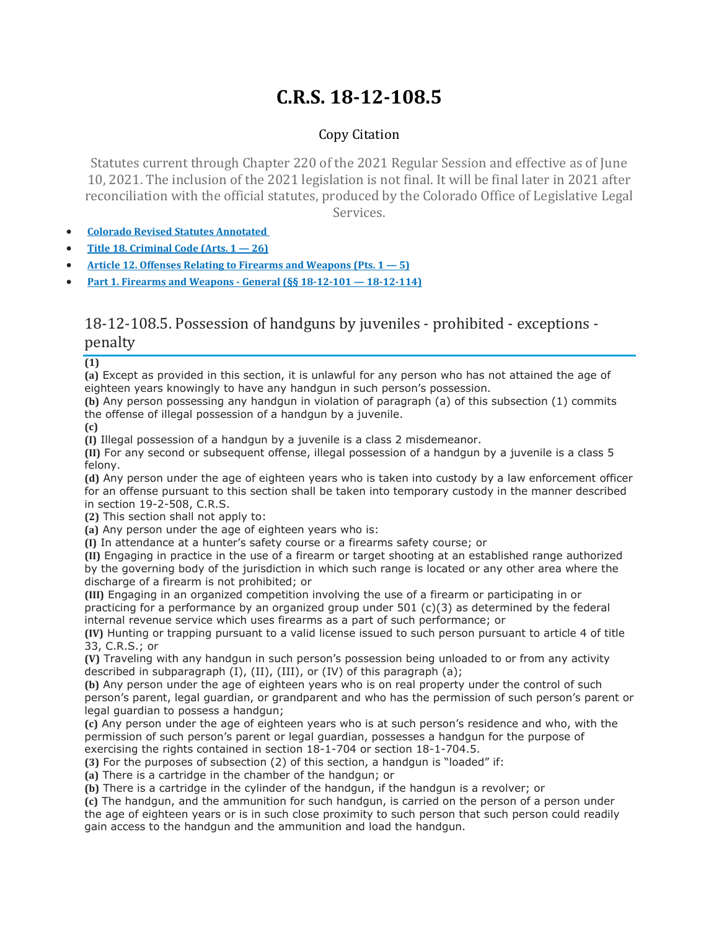# **C.R.S. 18-12-108.5**

## Copy Citation

Statutes current through Chapter 220 of the 2021 Regular Session and effective as of June 10, 2021. The inclusion of the 2021 legislation is not final. It will be final later in 2021 after reconciliation with the official statutes, produced by the Colorado Office of Legislative Legal Services.

- **Colorado Revised Statutes [Annotated](https://advance.lexis.com/documentpage/?pdmfid=1000516&crid=93a4d168-e127-4610-9b47-efb071e60e21&pdistocdocslideraccess=true&config=014FJAAyNGJkY2Y4Zi1mNjgyLTRkN2YtYmE4OS03NTYzNzYzOTg0OGEKAFBvZENhdGFsb2d592qv2Kywlf8caKqYROP5&pddocfullpath=%2Fshared%2Fdocument%2Fstatutes-legislation%2Furn%3AcontentItem%3A61P5-WSW1-DYDC-J3CK-00008-00&pdcomponentid=234177&pdtocnodeidentifier=AASAAWAABAAQ&ecomp=sssdkkk&prid=aacfc1fb-98f4-42d6-904b-6186db28a4be)**
- **Title 18. [Criminal](https://advance.lexis.com/documentpage/?pdmfid=1000516&crid=93a4d168-e127-4610-9b47-efb071e60e21&pdistocdocslideraccess=true&config=014FJAAyNGJkY2Y4Zi1mNjgyLTRkN2YtYmE4OS03NTYzNzYzOTg0OGEKAFBvZENhdGFsb2d592qv2Kywlf8caKqYROP5&pddocfullpath=%2Fshared%2Fdocument%2Fstatutes-legislation%2Furn%3AcontentItem%3A61P5-WSW1-DYDC-J3CK-00008-00&pdcomponentid=234177&pdtocnodeidentifier=AASAAWAABAAQ&ecomp=sssdkkk&prid=aacfc1fb-98f4-42d6-904b-6186db28a4be) Code (Arts. 1 — 26)**
- **Article 12. Offenses Relating to Firearms and [Weapons](https://advance.lexis.com/documentpage/?pdmfid=1000516&crid=93a4d168-e127-4610-9b47-efb071e60e21&pdistocdocslideraccess=true&config=014FJAAyNGJkY2Y4Zi1mNjgyLTRkN2YtYmE4OS03NTYzNzYzOTg0OGEKAFBvZENhdGFsb2d592qv2Kywlf8caKqYROP5&pddocfullpath=%2Fshared%2Fdocument%2Fstatutes-legislation%2Furn%3AcontentItem%3A61P5-WSW1-DYDC-J3CK-00008-00&pdcomponentid=234177&pdtocnodeidentifier=AASAAWAABAAQ&ecomp=sssdkkk&prid=aacfc1fb-98f4-42d6-904b-6186db28a4be) (Pts. 1 — 5)**
- **Part 1. Firearms and Weapons - General (§§ 18-12-101 — [18-12-114\)](https://advance.lexis.com/documentpage/?pdmfid=1000516&crid=93a4d168-e127-4610-9b47-efb071e60e21&pdistocdocslideraccess=true&config=014FJAAyNGJkY2Y4Zi1mNjgyLTRkN2YtYmE4OS03NTYzNzYzOTg0OGEKAFBvZENhdGFsb2d592qv2Kywlf8caKqYROP5&pddocfullpath=%2Fshared%2Fdocument%2Fstatutes-legislation%2Furn%3AcontentItem%3A61P5-WSW1-DYDC-J3CK-00008-00&pdcomponentid=234177&pdtocnodeidentifier=AASAAWAABAAQ&ecomp=sssdkkk&prid=aacfc1fb-98f4-42d6-904b-6186db28a4be)**

## 18-12-108.5. Possession of handguns by juveniles - prohibited - exceptions penalty

#### **(1)**

**(a)** Except as provided in this section, it is unlawful for any person who has not attained the age of eighteen years knowingly to have any handgun in such person's possession.

**(b)** Any person possessing any handgun in violation of paragraph (a) of this subsection (1) commits the offense of illegal possession of a handgun by a juvenile.

**(c)**

**(I)** Illegal possession of a handgun by a juvenile is a class 2 misdemeanor.

**(II)** For any second or subsequent offense, illegal possession of a handgun by a juvenile is a class 5 felony.

**(d)** Any person under the age of eighteen years who is taken into custody by a law enforcement officer for an offense pursuant to this section shall be taken into temporary custody in the manner described in section 19-2-508, C.R.S.

**(2)** This section shall not apply to:

**(a)** Any person under the age of eighteen years who is:

**(I)** In attendance at a hunter's safety course or a firearms safety course; or

**(II)** Engaging in practice in the use of a firearm or target shooting at an established range authorized by the governing body of the jurisdiction in which such range is located or any other area where the discharge of a firearm is not prohibited; or

**(III)** Engaging in an organized competition involving the use of a firearm or participating in or practicing for a performance by an organized group under  $501$  (c)(3) as determined by the federal internal revenue service which uses firearms as a part of such performance; or

**(IV)** Hunting or trapping pursuant to a valid license issued to such person pursuant to article 4 of title 33, C.R.S.; or

**(V)** Traveling with any handgun in such person's possession being unloaded to or from any activity described in subparagraph (I), (II), (III), or (IV) of this paragraph (a);

**(b)** Any person under the age of eighteen years who is on real property under the control of such person's parent, legal guardian, or grandparent and who has the permission of such person's parent or legal guardian to possess a handgun;

**(c)** Any person under the age of eighteen years who is at such person's residence and who, with the permission of such person's parent or legal guardian, possesses a handgun for the purpose of exercising the rights contained in section 18-1-704 or section 18-1-704.5.

**(3)** For the purposes of subsection (2) of this section, a handgun is "loaded" if:

**(a)** There is a cartridge in the chamber of the handgun; or

**(b)** There is a cartridge in the cylinder of the handgun, if the handgun is a revolver; or

**(c)** The handgun, and the ammunition for such handgun, is carried on the person of a person under the age of eighteen years or is in such close proximity to such person that such person could readily gain access to the handgun and the ammunition and load the handgun.